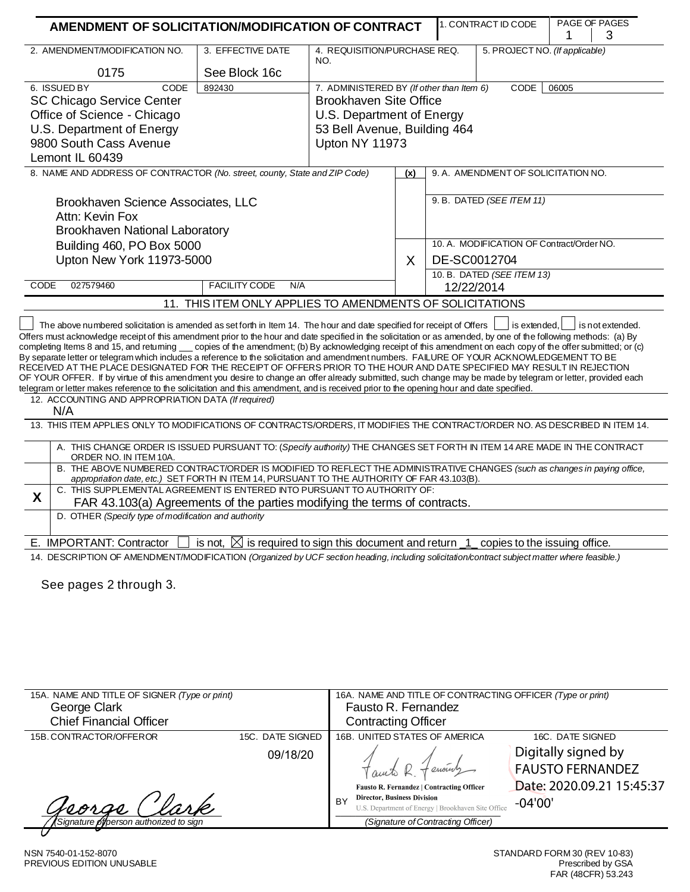| AMENDMENT OF SOLICITATION/MODIFICATION OF CONTRACT                                                                                                                                                                                                                                                                                                                                                                                                                                                                                                                                                                                                                                                                                                                                                                                                                                                                                                                                                                                                                                                                                                                                                                                                                                                                                                                                                          |                                                                                                                     |                                           |     |              | 1. CONTRACT ID CODE                       |                                | PAGE OF PAGES |
|-------------------------------------------------------------------------------------------------------------------------------------------------------------------------------------------------------------------------------------------------------------------------------------------------------------------------------------------------------------------------------------------------------------------------------------------------------------------------------------------------------------------------------------------------------------------------------------------------------------------------------------------------------------------------------------------------------------------------------------------------------------------------------------------------------------------------------------------------------------------------------------------------------------------------------------------------------------------------------------------------------------------------------------------------------------------------------------------------------------------------------------------------------------------------------------------------------------------------------------------------------------------------------------------------------------------------------------------------------------------------------------------------------------|---------------------------------------------------------------------------------------------------------------------|-------------------------------------------|-----|--------------|-------------------------------------------|--------------------------------|---------------|
|                                                                                                                                                                                                                                                                                                                                                                                                                                                                                                                                                                                                                                                                                                                                                                                                                                                                                                                                                                                                                                                                                                                                                                                                                                                                                                                                                                                                             |                                                                                                                     |                                           |     |              |                                           | 1                              | З             |
|                                                                                                                                                                                                                                                                                                                                                                                                                                                                                                                                                                                                                                                                                                                                                                                                                                                                                                                                                                                                                                                                                                                                                                                                                                                                                                                                                                                                             | 3. EFFECTIVE DATE<br>2. AMENDMENT/MODIFICATION NO.<br>4. REQUISITION/PURCHASE REQ.<br>NO.                           |                                           |     |              |                                           | 5. PROJECT NO. (If applicable) |               |
| 0175                                                                                                                                                                                                                                                                                                                                                                                                                                                                                                                                                                                                                                                                                                                                                                                                                                                                                                                                                                                                                                                                                                                                                                                                                                                                                                                                                                                                        | See Block 16c                                                                                                       |                                           |     |              |                                           |                                |               |
| 6. ISSUED BY<br>CODE                                                                                                                                                                                                                                                                                                                                                                                                                                                                                                                                                                                                                                                                                                                                                                                                                                                                                                                                                                                                                                                                                                                                                                                                                                                                                                                                                                                        | 892430                                                                                                              | 7. ADMINISTERED BY (If other than Item 6) |     |              | CODE                                      | 06005                          |               |
| <b>SC Chicago Service Center</b>                                                                                                                                                                                                                                                                                                                                                                                                                                                                                                                                                                                                                                                                                                                                                                                                                                                                                                                                                                                                                                                                                                                                                                                                                                                                                                                                                                            |                                                                                                                     | <b>Brookhaven Site Office</b>             |     |              |                                           |                                |               |
| Office of Science - Chicago                                                                                                                                                                                                                                                                                                                                                                                                                                                                                                                                                                                                                                                                                                                                                                                                                                                                                                                                                                                                                                                                                                                                                                                                                                                                                                                                                                                 |                                                                                                                     | U.S. Department of Energy                 |     |              |                                           |                                |               |
| U.S. Department of Energy                                                                                                                                                                                                                                                                                                                                                                                                                                                                                                                                                                                                                                                                                                                                                                                                                                                                                                                                                                                                                                                                                                                                                                                                                                                                                                                                                                                   |                                                                                                                     | 53 Bell Avenue, Building 464              |     |              |                                           |                                |               |
| 9800 South Cass Avenue                                                                                                                                                                                                                                                                                                                                                                                                                                                                                                                                                                                                                                                                                                                                                                                                                                                                                                                                                                                                                                                                                                                                                                                                                                                                                                                                                                                      |                                                                                                                     | Upton NY 11973                            |     |              |                                           |                                |               |
| Lemont IL 60439                                                                                                                                                                                                                                                                                                                                                                                                                                                                                                                                                                                                                                                                                                                                                                                                                                                                                                                                                                                                                                                                                                                                                                                                                                                                                                                                                                                             |                                                                                                                     |                                           |     |              |                                           |                                |               |
| 8. NAME AND ADDRESS OF CONTRACTOR (No. street, county, State and ZIP Code)                                                                                                                                                                                                                                                                                                                                                                                                                                                                                                                                                                                                                                                                                                                                                                                                                                                                                                                                                                                                                                                                                                                                                                                                                                                                                                                                  |                                                                                                                     |                                           | (x) |              | 9. A. AMENDMENT OF SOLICITATION NO.       |                                |               |
| Brookhaven Science Associates, LLC                                                                                                                                                                                                                                                                                                                                                                                                                                                                                                                                                                                                                                                                                                                                                                                                                                                                                                                                                                                                                                                                                                                                                                                                                                                                                                                                                                          |                                                                                                                     |                                           |     |              | 9. B. DATED (SEE ITEM 11)                 |                                |               |
| Attn: Kevin Fox                                                                                                                                                                                                                                                                                                                                                                                                                                                                                                                                                                                                                                                                                                                                                                                                                                                                                                                                                                                                                                                                                                                                                                                                                                                                                                                                                                                             |                                                                                                                     |                                           |     |              |                                           |                                |               |
| <b>Brookhaven National Laboratory</b>                                                                                                                                                                                                                                                                                                                                                                                                                                                                                                                                                                                                                                                                                                                                                                                                                                                                                                                                                                                                                                                                                                                                                                                                                                                                                                                                                                       |                                                                                                                     |                                           |     |              |                                           |                                |               |
| Building 460, PO Box 5000                                                                                                                                                                                                                                                                                                                                                                                                                                                                                                                                                                                                                                                                                                                                                                                                                                                                                                                                                                                                                                                                                                                                                                                                                                                                                                                                                                                   |                                                                                                                     |                                           |     |              | 10. A. MODIFICATION OF Contract/Order NO. |                                |               |
| Upton New York 11973-5000                                                                                                                                                                                                                                                                                                                                                                                                                                                                                                                                                                                                                                                                                                                                                                                                                                                                                                                                                                                                                                                                                                                                                                                                                                                                                                                                                                                   |                                                                                                                     |                                           | X   | DE-SC0012704 |                                           |                                |               |
| CODE<br>027579460                                                                                                                                                                                                                                                                                                                                                                                                                                                                                                                                                                                                                                                                                                                                                                                                                                                                                                                                                                                                                                                                                                                                                                                                                                                                                                                                                                                           | FACILITY CODE<br>N/A                                                                                                |                                           |     |              | 10. B. DATED (SEE ITEM 13)                |                                |               |
|                                                                                                                                                                                                                                                                                                                                                                                                                                                                                                                                                                                                                                                                                                                                                                                                                                                                                                                                                                                                                                                                                                                                                                                                                                                                                                                                                                                                             | 11. THIS ITEM ONLY APPLIES TO AMENDMENTS OF SOLICITATIONS                                                           |                                           |     | 12/22/2014   |                                           |                                |               |
| Offers must acknowledge receipt of this amendment prior to the hour and date specified in the solicitation or as amended, by one of the following methods: (a) By<br>completing Items 8 and 15, and returning ___ copies of the amendment; (b) By acknowledging receipt of this amendment on each copy of the offer submitted; or (c)<br>By separate letter or telegram which includes a reference to the solicitation and amendment numbers. FAILURE OF YOUR ACKNOWLEDGEMENT TO BE<br>RECEIVED AT THE PLACE DESIGNATED FOR THE RECEIPT OF OFFERS PRIOR TO THE HOUR AND DATE SPECIFIED MAY RESULT IN REJECTION<br>OF YOUR OFFER. If by virtue of this amendment you desire to change an offer already submitted, such change may be made by telegram or letter, provided each<br>telegram or letter makes reference to the solicitation and this amendment, and is received prior to the opening hour and date specified.<br>12. ACCOUNTING AND APPROPRIATION DATA (If required)<br>N/A<br>13. THIS ITEM APPLIES ONLY TO MODIFICATIONS OF CONTRACTS/ORDERS, IT MODIFIES THE CONTRACT/ORDER NO. AS DESCRIBED IN ITEM 14.<br>A. THIS CHANGE ORDER IS ISSUED PURSUANT TO: (Specify authority) THE CHANGES SET FORTH IN ITEM 14 ARE MADE IN THE CONTRACT<br>ORDER NO. IN ITEM 10A.<br>B. THE ABOVE NUMBERED CONTRACT/ORDER IS MODIFIED TO REFLECT THE ADMINISTRATIVE CHANGES (such as changes in paying office, |                                                                                                                     |                                           |     |              |                                           |                                |               |
| appropriation date, etc.) SET FORTH IN ITEM 14, PURSUANT TO THE AUTHORITY OF FAR 43.103(B).<br>C. THIS SUPPLEMENTAL AGREEMENT IS ENTERED INTO PURSUANT TO AUTHORITY OF:                                                                                                                                                                                                                                                                                                                                                                                                                                                                                                                                                                                                                                                                                                                                                                                                                                                                                                                                                                                                                                                                                                                                                                                                                                     |                                                                                                                     |                                           |     |              |                                           |                                |               |
| X<br>FAR 43.103(a) Agreements of the parties modifying the terms of contracts.                                                                                                                                                                                                                                                                                                                                                                                                                                                                                                                                                                                                                                                                                                                                                                                                                                                                                                                                                                                                                                                                                                                                                                                                                                                                                                                              |                                                                                                                     |                                           |     |              |                                           |                                |               |
| D. OTHER (Specify type of modification and authority                                                                                                                                                                                                                                                                                                                                                                                                                                                                                                                                                                                                                                                                                                                                                                                                                                                                                                                                                                                                                                                                                                                                                                                                                                                                                                                                                        |                                                                                                                     |                                           |     |              |                                           |                                |               |
| E. IMPORTANT: Contractor                                                                                                                                                                                                                                                                                                                                                                                                                                                                                                                                                                                                                                                                                                                                                                                                                                                                                                                                                                                                                                                                                                                                                                                                                                                                                                                                                                                    | is not, $\boxtimes$ is required to sign this document and return $\frac{1}{\sqrt{1}}$ copies to the issuing office. |                                           |     |              |                                           |                                |               |
| 14. DESCRIPTION OF AMENDMENT/MODIFICATION (Organized by UCF section heading, including solicitation/contract subject matter where feasible.)                                                                                                                                                                                                                                                                                                                                                                                                                                                                                                                                                                                                                                                                                                                                                                                                                                                                                                                                                                                                                                                                                                                                                                                                                                                                |                                                                                                                     |                                           |     |              |                                           |                                |               |
| See pages 2 through 3.                                                                                                                                                                                                                                                                                                                                                                                                                                                                                                                                                                                                                                                                                                                                                                                                                                                                                                                                                                                                                                                                                                                                                                                                                                                                                                                                                                                      |                                                                                                                     |                                           |     |              |                                           |                                |               |

|          | Fausto R. Fernandez                                                                           |                                                                                                  |
|----------|-----------------------------------------------------------------------------------------------|--------------------------------------------------------------------------------------------------|
|          | <b>Contracting Officer</b>                                                                    |                                                                                                  |
|          | 16B. UNITED STATES OF AMERICA                                                                 | 16C. DATE SIGNED                                                                                 |
| 09/18/20 | Fausto R. Fernandez   Contracting Officer                                                     | Digitally signed by<br><b>FAUSTO FERNANDEZ</b><br>Date: 2020.09.21 15:45:37                      |
|          | B<br>U.S. Department of Energy   Brookhaven Site Office<br>(Signature of Contracting Officer) | $-04'00'$                                                                                        |
|          | 15C. DATE SIGNED                                                                              | 16A. NAME AND TITLE OF CONTRACTING OFFICER (Type or print)<br><b>Director, Business Division</b> |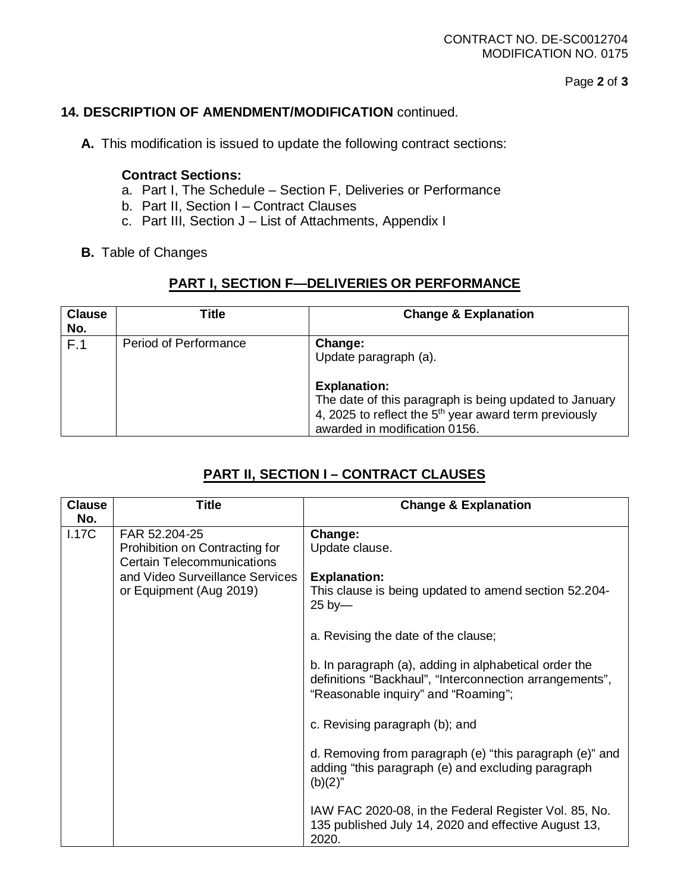Page **2** of **3**

## **14. DESCRIPTION OF AMENDMENT/MODIFICATION** continued.

**A.** This modification is issued to update the following contract sections:

#### **Contract Sections:**

- a. Part I, The Schedule Section F, Deliveries or Performance
- b. Part II, Section I Contract Clauses
- c. Part III, Section J List of Attachments, Appendix I
- **B.** Table of Changes

## **PART I, SECTION F—DELIVERIES OR PERFORMANCE**

| <b>Clause</b><br>No. | Title                        | <b>Change &amp; Explanation</b>                                                                                                                                                                               |
|----------------------|------------------------------|---------------------------------------------------------------------------------------------------------------------------------------------------------------------------------------------------------------|
| F.1                  | <b>Period of Performance</b> | Change:<br>Update paragraph (a).<br><b>Explanation:</b><br>The date of this paragraph is being updated to January<br>4, 2025 to reflect the $5th$ year award term previously<br>awarded in modification 0156. |

## **PART II, SECTION I – CONTRACT CLAUSES**

| <b>Clause</b> | <b>Title</b>                                                 | <b>Change &amp; Explanation</b>                                                                                                                         |
|---------------|--------------------------------------------------------------|---------------------------------------------------------------------------------------------------------------------------------------------------------|
| No.           |                                                              |                                                                                                                                                         |
| 1.17C         | FAR 52.204-25                                                | Change:                                                                                                                                                 |
|               | Prohibition on Contracting for<br>Certain Telecommunications | Update clause.                                                                                                                                          |
|               | and Video Surveillance Services                              | <b>Explanation:</b>                                                                                                                                     |
|               | or Equipment (Aug 2019)                                      | This clause is being updated to amend section 52.204-<br>$25$ by-                                                                                       |
|               |                                                              |                                                                                                                                                         |
|               |                                                              | a. Revising the date of the clause;                                                                                                                     |
|               |                                                              | b. In paragraph (a), adding in alphabetical order the<br>definitions "Backhaul", "Interconnection arrangements",<br>"Reasonable inquiry" and "Roaming"; |
|               |                                                              | c. Revising paragraph (b); and                                                                                                                          |
|               |                                                              | d. Removing from paragraph (e) "this paragraph (e)" and<br>adding "this paragraph (e) and excluding paragraph<br>$(b)(2)$ "                             |
|               |                                                              | IAW FAC 2020-08, in the Federal Register Vol. 85, No.<br>135 published July 14, 2020 and effective August 13,<br>2020.                                  |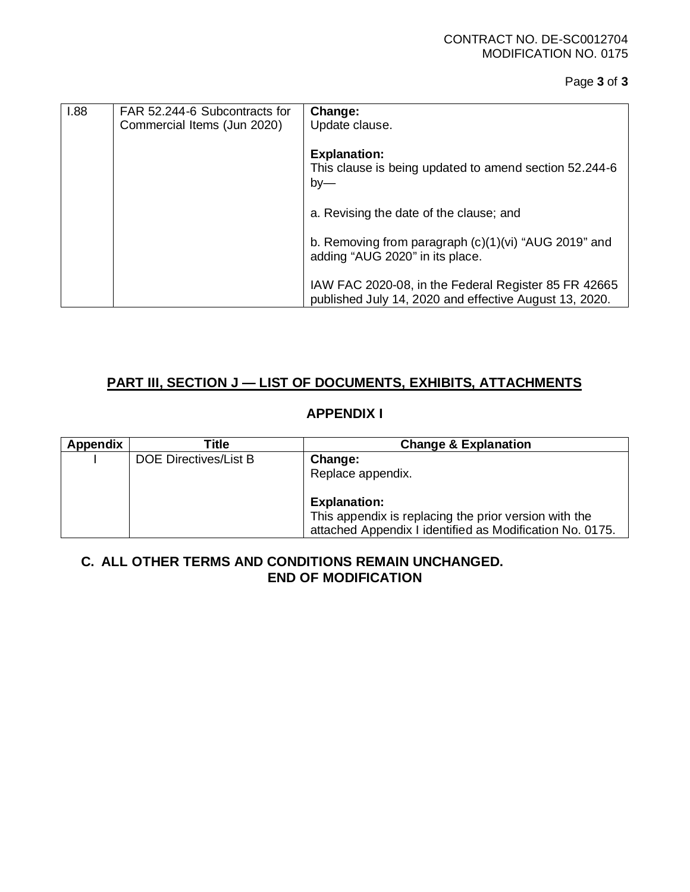| 1.88 | FAR 52.244-6 Subcontracts for | Change:                                                |
|------|-------------------------------|--------------------------------------------------------|
|      | Commercial Items (Jun 2020)   | Update clause.                                         |
|      |                               |                                                        |
|      |                               | <b>Explanation:</b>                                    |
|      |                               | This clause is being updated to amend section 52.244-6 |
|      |                               | $by-$                                                  |
|      |                               |                                                        |
|      |                               | a. Revising the date of the clause; and                |
|      |                               |                                                        |
|      |                               | b. Removing from paragraph $(c)(1)(vi)$ "AUG 2019" and |
|      |                               | adding "AUG 2020" in its place.                        |
|      |                               |                                                        |
|      |                               | IAW FAC 2020-08, in the Federal Register 85 FR 42665   |
|      |                               | published July 14, 2020 and effective August 13, 2020. |

## **PART III, SECTION J — LIST OF DOCUMENTS, EXHIBITS, ATTACHMENTS**

## **APPENDIX I**

| <b>Appendix</b> | Title                 | <b>Change &amp; Explanation</b>                          |
|-----------------|-----------------------|----------------------------------------------------------|
|                 | DOE Directives/List B | Change:                                                  |
|                 |                       | Replace appendix.                                        |
|                 |                       | <b>Explanation:</b>                                      |
|                 |                       | This appendix is replacing the prior version with the    |
|                 |                       | attached Appendix I identified as Modification No. 0175. |

#### **C. ALL OTHER TERMS AND CONDITIONS REMAIN UNCHANGED. END OF MODIFICATION**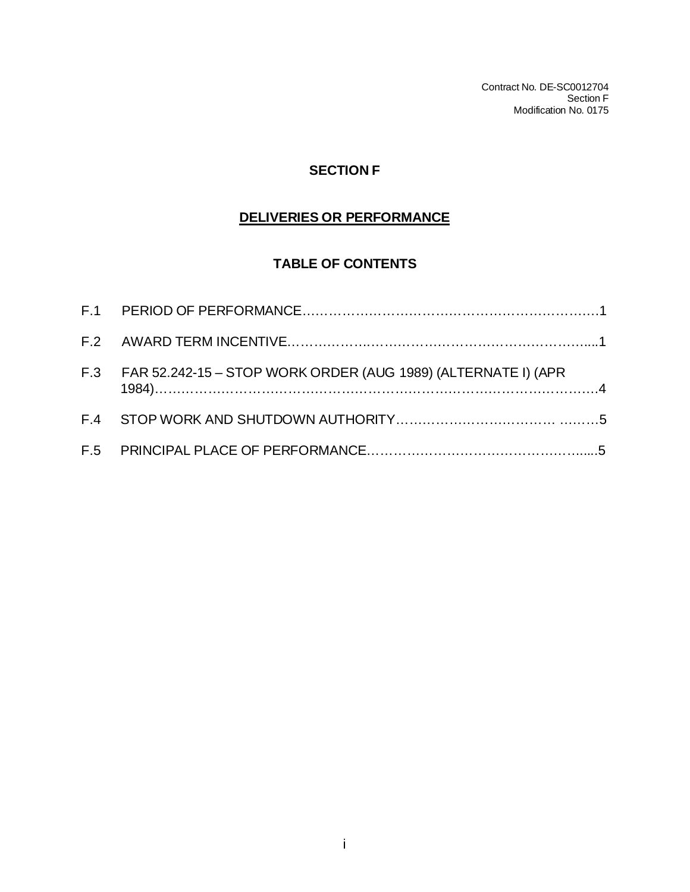Contract No. DE-SC0012704 Section F Modification No. 0175

## **SECTION F**

# **DELIVERIES OR PERFORMANCE**

## **TABLE OF CONTENTS**

| F.3 FAR 52.242-15 – STOP WORK ORDER (AUG 1989) (ALTERNATE I) (APR |  |
|-------------------------------------------------------------------|--|
|                                                                   |  |
|                                                                   |  |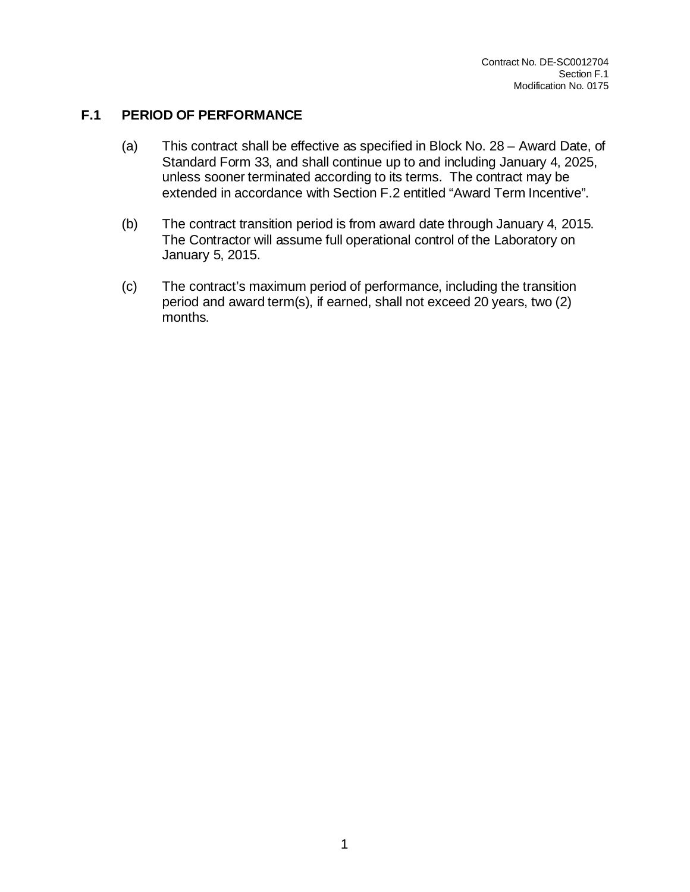#### **F.1 PERIOD OF PERFORMANCE**

- (a) This contract shall be effective as specified in Block No. 28 Award Date, of Standard Form 33, and shall continue up to and including January 4, 2025, unless sooner terminated according to its terms. The contract may be extended in accordance with Section F.2 entitled "Award Term Incentive".
- (b) The contract transition period is from award date through January 4, 2015. The Contractor will assume full operational control of the Laboratory on January 5, 2015.
- (c) The contract's maximum period of performance, including the transition period and award term(s), if earned, shall not exceed 20 years, two (2) months.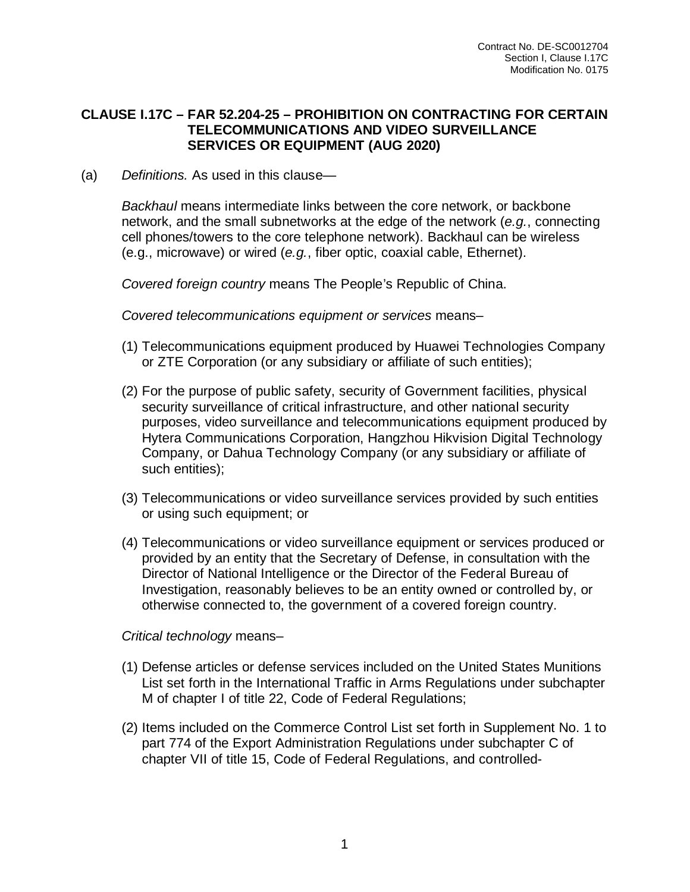#### **CLAUSE I.17C – FAR 52.204-25 – PROHIBITION ON CONTRACTING FOR CERTAIN TELECOMMUNICATIONS AND VIDEO SURVEILLANCE SERVICES OR EQUIPMENT (AUG 2020)**

(a) *Definitions.* As used in this clause—

*Backhaul* means intermediate links between the core network, or backbone network, and the small subnetworks at the edge of the network (*e.g.*, connecting cell phones/towers to the core telephone network). Backhaul can be wireless (e.g., microwave) or wired (*e.g.*, fiber optic, coaxial cable, Ethernet).

*Covered foreign country* means The People's Republic of China.

*Covered telecommunications equipment or services* means–

- (1) Telecommunications equipment produced by Huawei Technologies Company or ZTE Corporation (or any subsidiary or affiliate of such entities);
- (2) For the purpose of public safety, security of Government facilities, physical security surveillance of critical infrastructure, and other national security purposes, video surveillance and telecommunications equipment produced by Hytera Communications Corporation, Hangzhou Hikvision Digital Technology Company, or Dahua Technology Company (or any subsidiary or affiliate of such entities);
- (3) Telecommunications or video surveillance services provided by such entities or using such equipment; or
- (4) Telecommunications or video surveillance equipment or services produced or provided by an entity that the Secretary of Defense, in consultation with the Director of National Intelligence or the Director of the Federal Bureau of Investigation, reasonably believes to be an entity owned or controlled by, or otherwise connected to, the government of a covered foreign country.

#### *Critical technology* means–

- (1) Defense articles or defense services included on the United States Munitions List set forth in the International Traffic in Arms Regulations under subchapter M of chapter I of title 22, Code of Federal Regulations;
- (2) Items included on the Commerce Control List set forth in Supplement No. 1 to part 774 of the Export Administration Regulations under subchapter C of chapter VII of title 15, Code of Federal Regulations, and controlled-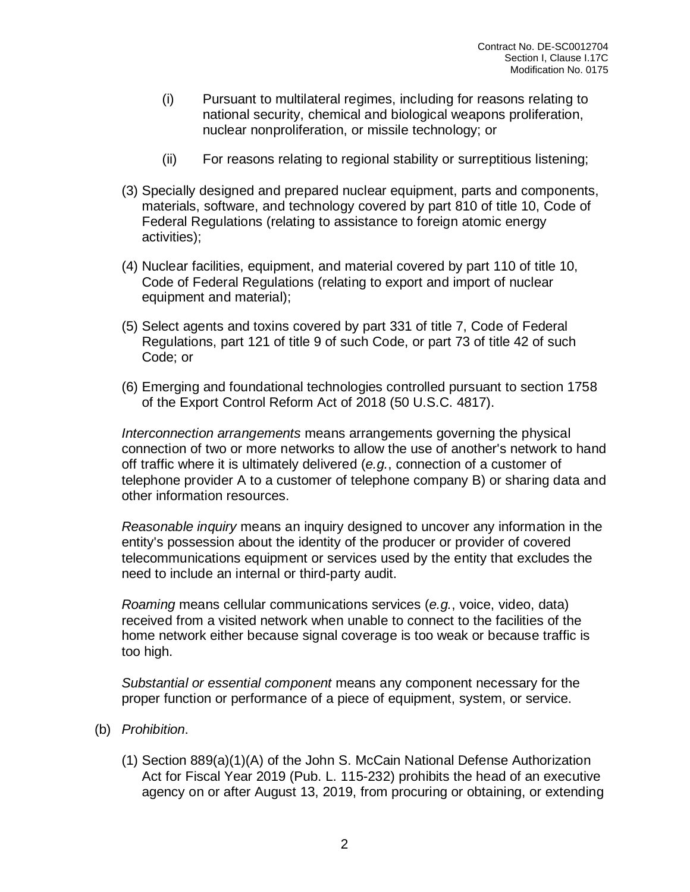- (i) Pursuant to multilateral regimes, including for reasons relating to national security, chemical and biological weapons proliferation, nuclear nonproliferation, or missile technology; or
- (ii) For reasons relating to regional stability or surreptitious listening;
- (3) Specially designed and prepared nuclear equipment, parts and components, materials, software, and technology covered by part 810 of title 10, Code of Federal Regulations (relating to assistance to foreign atomic energy activities);
- (4) Nuclear facilities, equipment, and material covered by part 110 of title 10, Code of Federal Regulations (relating to export and import of nuclear equipment and material);
- (5) Select agents and toxins covered by part 331 of title 7, Code of Federal Regulations, part 121 of title 9 of such Code, or part 73 of title 42 of such Code; or
- (6) Emerging and foundational technologies controlled pursuant to section 1758 of the Export Control Reform Act of 2018 (50 U.S.C. 4817).

*Interconnection arrangements* means arrangements governing the physical connection of two or more networks to allow the use of another's network to hand off traffic where it is ultimately delivered (*e.g.*, connection of a customer of telephone provider A to a customer of telephone company B) or sharing data and other information resources.

*Reasonable inquiry* means an inquiry designed to uncover any information in the entity's possession about the identity of the producer or provider of covered telecommunications equipment or services used by the entity that excludes the need to include an internal or third-party audit.

*Roaming* means cellular communications services (*e.g.*, voice, video, data) received from a visited network when unable to connect to the facilities of the home network either because signal coverage is too weak or because traffic is too high.

*Substantial or essential component* means any component necessary for the proper function or performance of a piece of equipment, system, or service.

- (b) *Prohibition*.
	- (1) Section 889(a)(1)(A) of the John S. McCain National Defense Authorization Act for Fiscal Year 2019 (Pub. L. 115-232) prohibits the head of an executive agency on or after August 13, 2019, from procuring or obtaining, or extending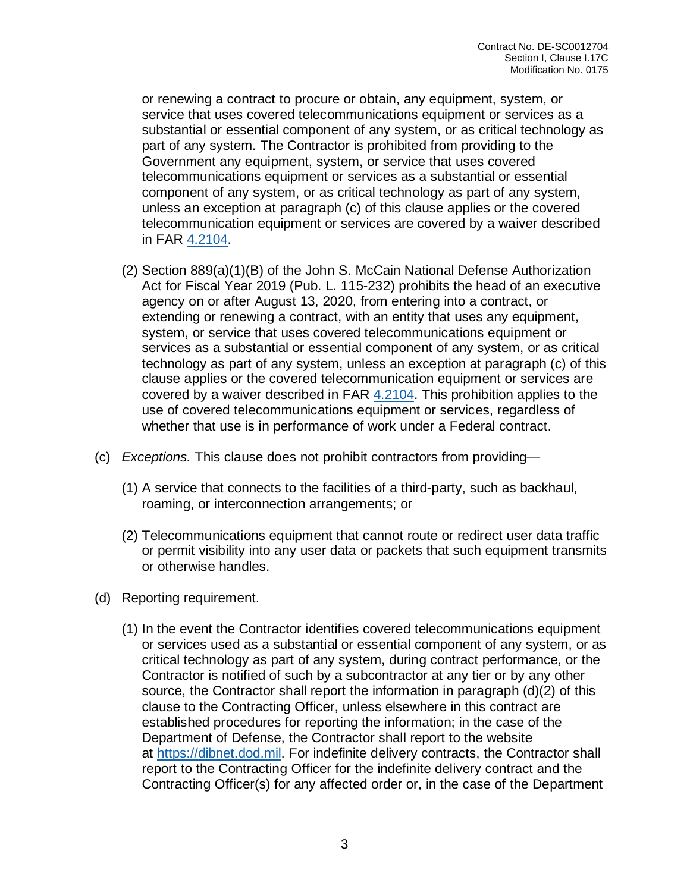or renewing a contract to procure or obtain, any equipment, system, or service that uses covered telecommunications equipment or services as a substantial or essential component of any system, or as critical technology as part of any system. The Contractor is prohibited from providing to the Government any equipment, system, or service that uses covered telecommunications equipment or services as a substantial or essential component of any system, or as critical technology as part of any system, unless an exception at paragraph (c) of this clause applies or the covered telecommunication equipment or services are covered by a waiver described in FAR [4.2104.](https://www.acquisition.gov/far/part-4#FAR_4_2104)

- (2) Section 889(a)(1)(B) of the John S. McCain National Defense Authorization Act for Fiscal Year 2019 (Pub. L. 115-232) prohibits the head of an executive agency on or after August 13, 2020, from entering into a contract, or extending or renewing a contract, with an entity that uses any equipment, system, or service that uses covered telecommunications equipment or services as a substantial or essential component of any system, or as critical technology as part of any system, unless an exception at paragraph (c) of this clause applies or the covered telecommunication equipment or services are covered by a waiver described in FAR [4.2104.](https://www.acquisition.gov/far/part-4#FAR_4_2104) This prohibition applies to the use of covered telecommunications equipment or services, regardless of whether that use is in performance of work under a Federal contract.
- (c) *Exceptions.* This clause does not prohibit contractors from providing—
	- (1) A service that connects to the facilities of a third-party, such as backhaul, roaming, or interconnection arrangements; or
	- (2) Telecommunications equipment that cannot route or redirect user data traffic or permit visibility into any user data or packets that such equipment transmits or otherwise handles.
- (d) Reporting requirement.
	- (1) In the event the Contractor identifies covered telecommunications equipment or services used as a substantial or essential component of any system, or as critical technology as part of any system, during contract performance, or the Contractor is notified of such by a subcontractor at any tier or by any other source, the Contractor shall report the information in paragraph (d)(2) of this clause to the Contracting Officer, unless elsewhere in this contract are established procedures for reporting the information; in the case of the Department of Defense, the Contractor shall report to the website at [https://dibnet.dod.mil.](https://dibnet.dod.mil/) For indefinite delivery contracts, the Contractor shall report to the Contracting Officer for the indefinite delivery contract and the Contracting Officer(s) for any affected order or, in the case of the Department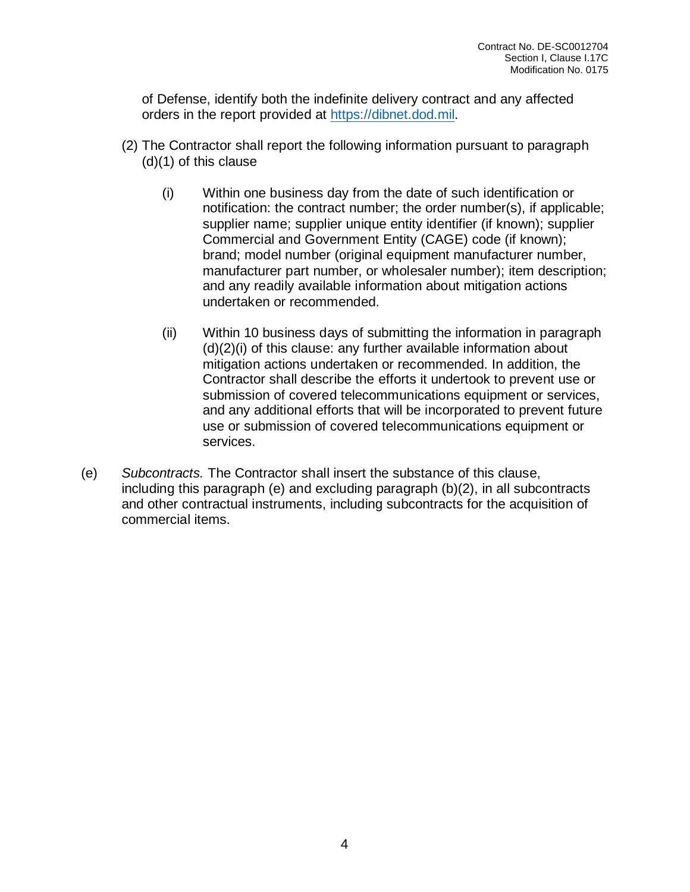of Defense, identify both the indefinite delivery contract and any affected orders in the report provided at [https://dibnet.dod.mil.](https://dibnet.dod.mil/)

- (2) The Contractor shall report the following information pursuant to paragraph (d)(1) of this clause
	- (i) Within one business day from the date of such identification or notification: the contract number; the order number(s), if applicable; supplier name; supplier unique entity identifier (if known); supplier Commercial and Government Entity (CAGE) code (if known); brand; model number (original equipment manufacturer number, manufacturer part number, or wholesaler number); item description; and any readily available information about mitigation actions undertaken or recommended.
	- (ii) Within 10 business days of submitting the information in paragraph (d)(2)(i) of this clause: any further available information about mitigation actions undertaken or recommended. In addition, the Contractor shall describe the efforts it undertook to prevent use or submission of covered telecommunications equipment or services, and any additional efforts that will be incorporated to prevent future use or submission of covered telecommunications equipment or services.
- (e) *Subcontracts.* The Contractor shall insert the substance of this clause, including this paragraph (e) and excluding paragraph (b)(2), in all subcontracts and other contractual instruments, including subcontracts for the acquisition of commercial items.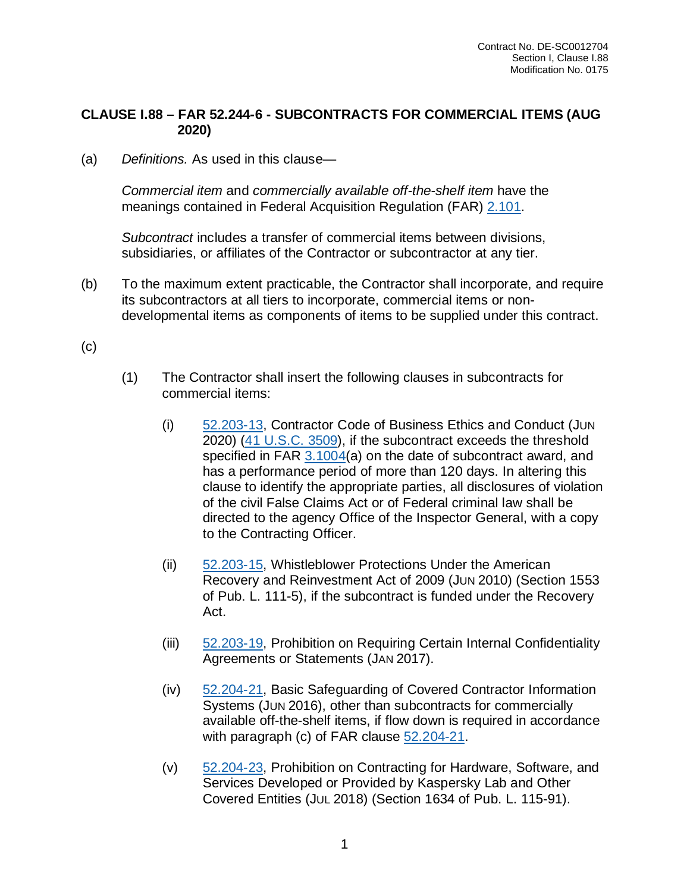## **CLAUSE I.88 – FAR 52.244-6 - SUBCONTRACTS FOR COMMERCIAL ITEMS (AUG 2020)**

(a) *Definitions.* As used in this clause—

*Commercial item* and *commercially available off-the-shelf item* have the meanings contained in Federal Acquisition Regulation (FAR) [2.101.](https://www.acquisition.gov/far/part-2#FAR_2_101)

*Subcontract* includes a transfer of commercial items between divisions, subsidiaries, or affiliates of the Contractor or subcontractor at any tier.

(b) To the maximum extent practicable, the Contractor shall incorporate, and require its subcontractors at all tiers to incorporate, commercial items or nondevelopmental items as components of items to be supplied under this contract.

(c)

- (1) The Contractor shall insert the following clauses in subcontracts for commercial items:
	- (i) [52.203-13,](https://www.acquisition.gov/far/part-52#FAR_52_203_13) Contractor Code of Business Ethics and Conduct (JUN 2020) (41 [U.S.C.](http://uscode.house.gov/browse.xhtml;jsessionid=114A3287C7B3359E597506A31FC855B3) 3509), if the subcontract exceeds the threshold specified in FAR [3.1004\(](https://www.acquisition.gov/far/part-3#FAR_3_1004)a) on the date of subcontract award, and has a performance period of more than 120 days. In altering this clause to identify the appropriate parties, all disclosures of violation of the civil False Claims Act or of Federal criminal law shall be directed to the agency Office of the Inspector General, with a copy to the Contracting Officer.
	- (ii) [52.203-15,](https://www.acquisition.gov/far/part-52#FAR_52_203_15) Whistleblower Protections Under the American Recovery and Reinvestment Act of 2009 (JUN 2010) (Section 1553 of Pub. L. 111-5), if the subcontract is funded under the Recovery Act.
	- (iii) [52.203-19,](https://www.acquisition.gov/far/part-52#FAR_52_203_19) Prohibition on Requiring Certain Internal Confidentiality Agreements or Statements (JAN 2017).
	- (iv) [52.204-21,](https://www.acquisition.gov/far/part-52#FAR_52_204_21) Basic Safeguarding of Covered Contractor Information Systems (JUN 2016), other than subcontracts for commercially available off-the-shelf items, if flow down is required in accordance with paragraph (c) of FAR clause [52.204-21.](https://www.acquisition.gov/far/part-52#FAR_52_204_21)
	- (v) [52.204-23,](https://www.acquisition.gov/far/part-52#FAR_52_204_23) Prohibition on Contracting for Hardware, Software, and Services Developed or Provided by Kaspersky Lab and Other Covered Entities (JUL 2018) (Section 1634 of Pub. L. 115-91).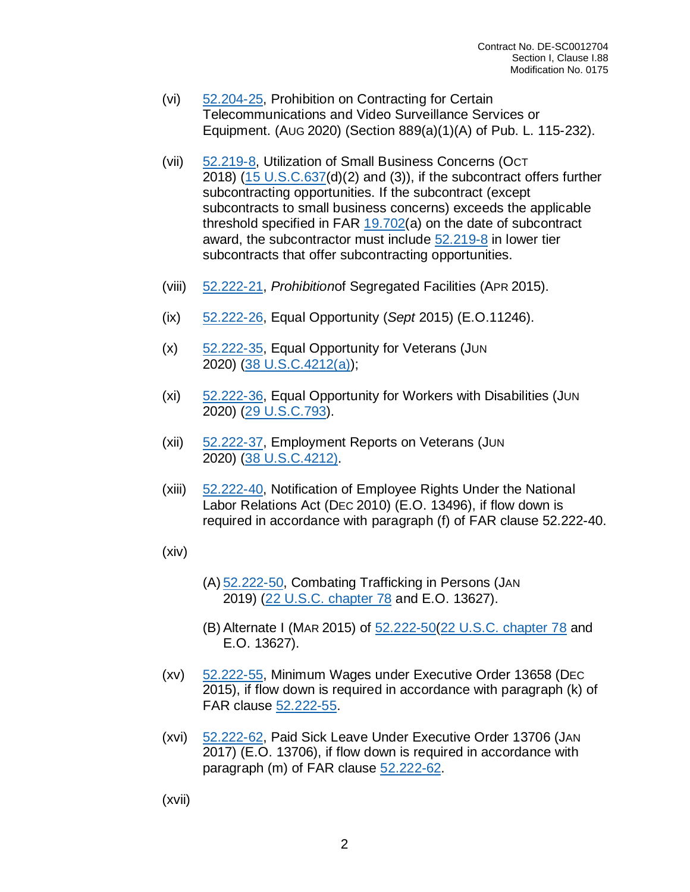- (vi) [52.204-25,](https://www.acquisition.gov/far/part-52#FAR_52_204_25) Prohibition on Contracting for Certain Telecommunications and Video Surveillance Services or Equipment. (AUG 2020) (Section 889(a)(1)(A) of Pub. L. 115-232).
- (vii) [52.219-8,](https://www.acquisition.gov/far/part-52#FAR_52_219_8) Utilization of Small Business Concerns (OCT 2018) (15 [U.S.C.637\(](http://uscode.house.gov/view.xhtml?req=granuleid:USC-prelim-title15-section637&num=0&edition=prelim)d)(2) and (3)), if the subcontract offers further subcontracting opportunities. If the subcontract (except subcontracts to small business concerns) exceeds the applicable threshold specified in FAR [19.702\(](https://www.acquisition.gov/far/part-19#FAR_19_702)a) on the date of subcontract award, the subcontractor must include [52.219-8](https://www.acquisition.gov/far/part-52#FAR_52_219_8) in lower tier subcontracts that offer subcontracting opportunities.
- (viii) [52.222-21,](https://www.acquisition.gov/far/part-52#FAR_52_222_21) *Prohibition*of Segregated Facilities (APR 2015).
- (ix) [52.222-26,](https://www.acquisition.gov/far/part-52#FAR_52_222_26) Equal Opportunity (*Sept* 2015) (E.O.11246).
- (x) [52.222-35,](https://www.acquisition.gov/far/part-52#FAR_52_222_35) Equal Opportunity for Veterans (JUN 2020) (38 [U.S.C.4212\(a\)\)](http://uscode.house.gov/browse.xhtml;jsessionid=114A3287C7B3359E597506A31FC855B3);
- (xi) [52.222-36,](https://www.acquisition.gov/far/part-52#FAR_52_222_36) Equal Opportunity for Workers with Disabilities (JUN 2020) (29 [U.S.C.793\)](http://uscode.house.gov/browse.xhtml;jsessionid=114A3287C7B3359E597506A31FC855B3).
- (xii) [52.222-37,](https://www.acquisition.gov/far/part-52#FAR_52_222_37) Employment Reports on Veterans (JUN 2020) (38 [U.S.C.4212\).](http://uscode.house.gov/browse.xhtml;jsessionid=114A3287C7B3359E597506A31FC855B3)
- (xiii) [52.222-40,](https://www.acquisition.gov/far/part-52#FAR_52_222_40) Notification of Employee Rights Under the National Labor Relations Act (DEC 2010) (E.O. 13496), if flow down is required in accordance with paragraph (f) of FAR clause 52.222-40.
- (xiv)
- (A) [52.222-50,](https://www.acquisition.gov/far/part-52#FAR_52_222_50) Combating Trafficking in Persons (JAN 2019) (22 U.S.C. [chapter](http://uscode.house.gov/browse.xhtml;jsessionid=114A3287C7B3359E597506A31FC855B3) 78 and E.O. 13627).
- (B) Alternate I (MAR 2015) of [52.222-50\(](https://www.acquisition.gov/far/part-52#FAR_52_222_50)22 U.S.C. [chapter](http://uscode.house.gov/browse.xhtml;jsessionid=114A3287C7B3359E597506A31FC855B3) 78 and E.O. 13627).
- (xv) [52.222-55,](https://www.acquisition.gov/far/part-52#FAR_52_222_55) Minimum Wages under Executive Order 13658 (DEC 2015), if flow down is required in accordance with paragraph (k) of FAR clause [52.222-55.](https://www.acquisition.gov/far/part-52#FAR_52_222_55)
- (xvi) [52.222-62,](https://www.acquisition.gov/far/part-52#FAR_52_222_62) Paid Sick Leave Under Executive Order 13706 (JAN 2017) (E.O. 13706), if flow down is required in accordance with paragraph (m) of FAR clause [52.222-62.](https://www.acquisition.gov/far/part-52#FAR_52_222_62)

(xvii)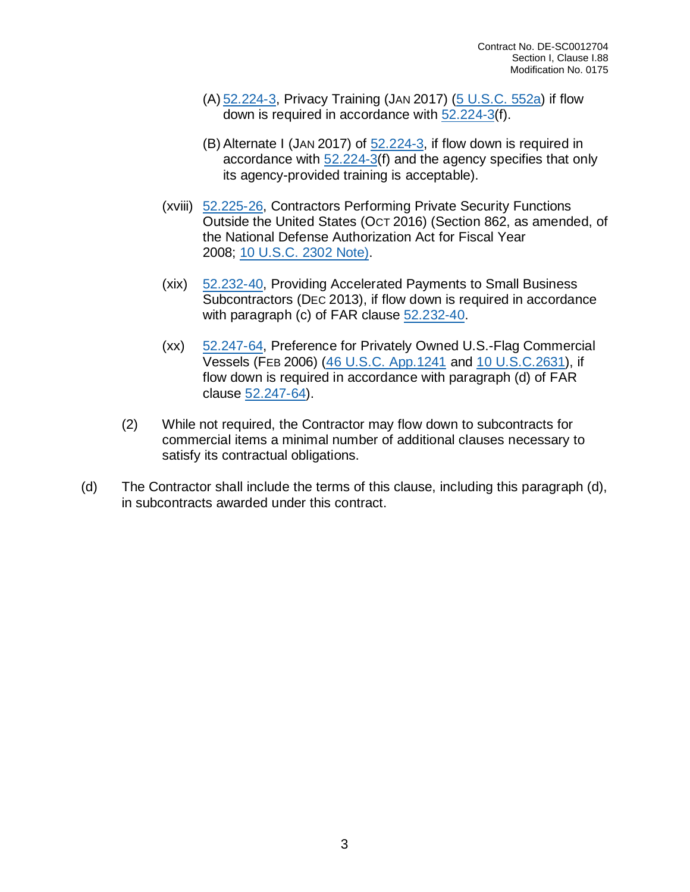- (A) [52.224-3,](https://www.acquisition.gov/far/part-52#FAR_52_224_3) Privacy Training (JAN 2017) (5 [U.S.C.](http://uscode.house.gov/view.xhtml?req=granuleid:USC-prelim-title5-section552a&num=0&edition=prelim) 552a) if flow down is required in accordance with [52.224-3\(](https://www.acquisition.gov/far/part-52#FAR_52_224_3)f).
- (B) Alternate I (JAN 2017) of [52.224-3,](https://www.acquisition.gov/far/part-52#FAR_52_224_3) if flow down is required in accordance with [52.224-3\(](https://www.acquisition.gov/far/part-52#FAR_52_224_3)f) and the agency specifies that only its agency-provided training is acceptable).
- (xviii) [52.225-26,](https://www.acquisition.gov/far/part-52#FAR_52_225_26) Contractors Performing Private Security Functions Outside the United States (OCT 2016) (Section 862, as amended, of the National Defense Authorization Act for Fiscal Year 2008; 10 [U.S.C.](http://uscode.house.gov/browse.xhtml;jsessionid=114A3287C7B3359E597506A31FC855B3) 2302 Note).
- (xix) [52.232-40,](https://www.acquisition.gov/far/part-52#FAR_52_232_40) Providing Accelerated Payments to Small Business Subcontractors (DEC 2013), if flow down is required in accordance with paragraph (c) of FAR clause [52.232-40.](https://www.acquisition.gov/far/part-52#FAR_52_232_40)
- (xx) [52.247-64,](https://www.acquisition.gov/far/part-52#FAR_52_247_64) Preference for Privately Owned U.S.-Flag Commercial Vessels (FEB 2006) (46 U.S.C. [App.1241](http://uscode.house.gov/browse.xhtml;jsessionid=114A3287C7B3359E597506A31FC855B3) and 10 [U.S.C.2631\)](http://uscode.house.gov/browse.xhtml;jsessionid=114A3287C7B3359E597506A31FC855B3), if flow down is required in accordance with paragraph (d) of FAR clause [52.247-64\)](https://www.acquisition.gov/far/part-52#FAR_52_247_64).
- (2) While not required, the Contractor may flow down to subcontracts for commercial items a minimal number of additional clauses necessary to satisfy its contractual obligations.
- (d) The Contractor shall include the terms of this clause, including this paragraph (d), in subcontracts awarded under this contract.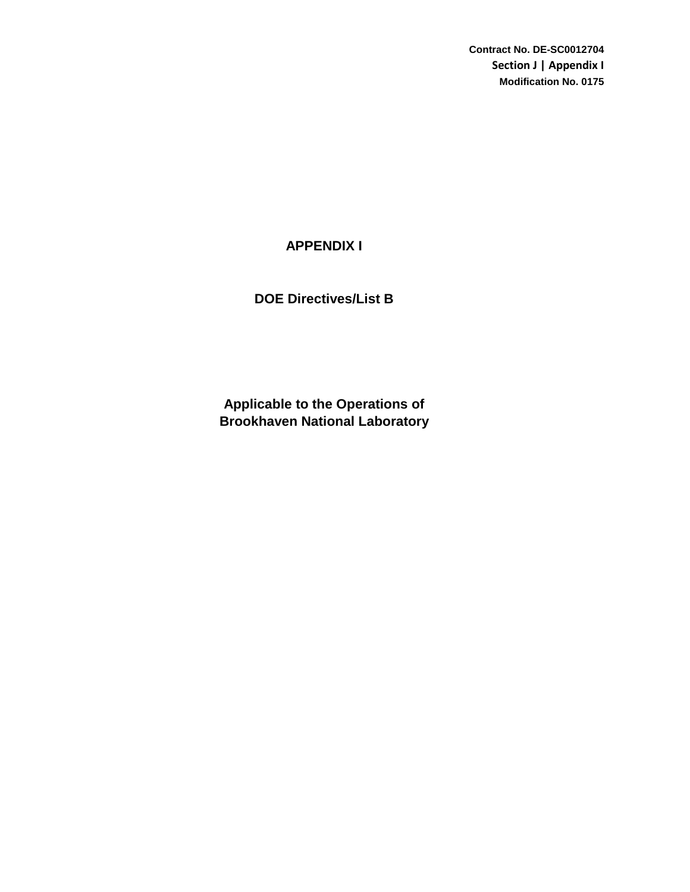**Contract No. DE-SC0012704 Section J | Appendix I Modification No. 0175**

## **APPENDIX I**

**DOE Directives/List B**

**Brookhaven National Laboratory Applicable to the Operations of**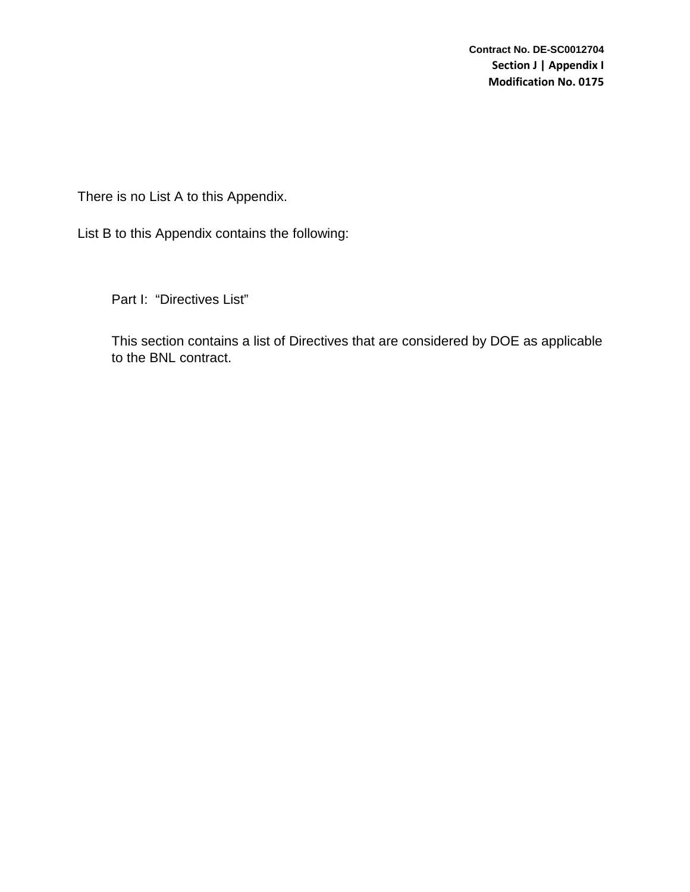There is no List A to this Appendix.

List B to this Appendix contains the following:

Part I: "Directives List"

This section contains a list of Directives that are considered by DOE as applicable to the BNL contract.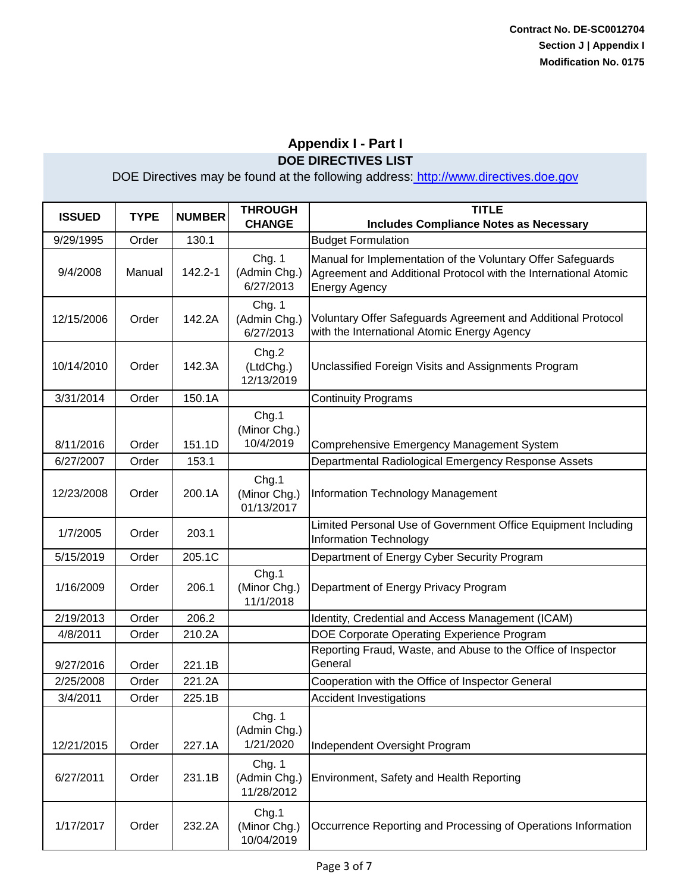| <b>ISSUED</b> | <b>TYPE</b> | <b>NUMBER</b> | <b>THROUGH</b><br><b>CHANGE</b>      | <b>TITLE</b><br><b>Includes Compliance Notes as Necessary</b>                                                                                          |
|---------------|-------------|---------------|--------------------------------------|--------------------------------------------------------------------------------------------------------------------------------------------------------|
| 9/29/1995     | Order       | 130.1         |                                      | <b>Budget Formulation</b>                                                                                                                              |
| 9/4/2008      | Manual      | 142.2-1       | Chg. 1<br>(Admin Chg.)<br>6/27/2013  | Manual for Implementation of the Voluntary Offer Safeguards<br>Agreement and Additional Protocol with the International Atomic<br><b>Energy Agency</b> |
| 12/15/2006    | Order       | 142.2A        | Chg. 1<br>(Admin Chg.)<br>6/27/2013  | Voluntary Offer Safeguards Agreement and Additional Protocol<br>with the International Atomic Energy Agency                                            |
| 10/14/2010    | Order       | 142.3A        | Chg.2<br>(LtdChg.)<br>12/13/2019     | Unclassified Foreign Visits and Assignments Program                                                                                                    |
| 3/31/2014     | Order       | 150.1A        |                                      | <b>Continuity Programs</b>                                                                                                                             |
| 8/11/2016     | Order       | 151.1D        | Chg.1<br>(Minor Chg.)<br>10/4/2019   | Comprehensive Emergency Management System                                                                                                              |
| 6/27/2007     | Order       | 153.1         |                                      | Departmental Radiological Emergency Response Assets                                                                                                    |
| 12/23/2008    | Order       | 200.1A        | Chg.1<br>(Minor Chg.)<br>01/13/2017  | <b>Information Technology Management</b>                                                                                                               |
| 1/7/2005      | Order       | 203.1         |                                      | Limited Personal Use of Government Office Equipment Including<br><b>Information Technology</b>                                                         |
| 5/15/2019     | Order       | 205.1C        |                                      | Department of Energy Cyber Security Program                                                                                                            |
| 1/16/2009     | Order       | 206.1         | Chg.1<br>(Minor Chg.)<br>11/1/2018   | Department of Energy Privacy Program                                                                                                                   |
| 2/19/2013     | Order       | 206.2         |                                      | Identity, Credential and Access Management (ICAM)                                                                                                      |
| 4/8/2011      | Order       | 210.2A        |                                      | DOE Corporate Operating Experience Program                                                                                                             |
| 9/27/2016     | Order       | 221.1B        |                                      | Reporting Fraud, Waste, and Abuse to the Office of Inspector<br>General                                                                                |
| 2/25/2008     | Order       | 221.2A        |                                      | Cooperation with the Office of Inspector General                                                                                                       |
| 3/4/2011      | Order       | 225.1B        |                                      | <b>Accident Investigations</b>                                                                                                                         |
| 12/21/2015    | Order       | 227.1A        | Chg. 1<br>(Admin Chg.)<br>1/21/2020  | Independent Oversight Program                                                                                                                          |
| 6/27/2011     | Order       | 231.1B        | Chg. 1<br>(Admin Chg.)<br>11/28/2012 | Environment, Safety and Health Reporting                                                                                                               |
| 1/17/2017     | Order       | 232.2A        | Chg.1<br>(Minor Chg.)<br>10/04/2019  | Occurrence Reporting and Processing of Operations Information                                                                                          |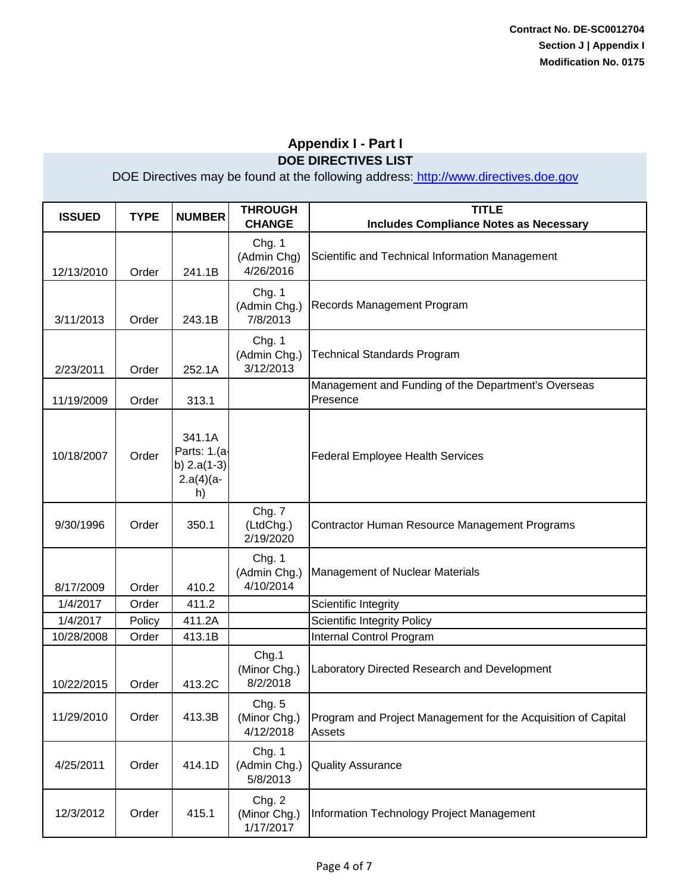| <b>ISSUED</b> | <b>TYPE</b> | <b>NUMBER</b>                                                | <b>THROUGH</b><br><b>CHANGE</b>     | <b>TITLE</b><br><b>Includes Compliance Notes as Necessary</b>           |
|---------------|-------------|--------------------------------------------------------------|-------------------------------------|-------------------------------------------------------------------------|
| 12/13/2010    | Order       | 241.1B                                                       | Chg. 1<br>(Admin Chg)<br>4/26/2016  | Scientific and Technical Information Management                         |
| 3/11/2013     | Order       | 243.1B                                                       | Chg. 1<br>(Admin Chg.)<br>7/8/2013  | Records Management Program                                              |
| 2/23/2011     | Order       | 252.1A                                                       | Chg. 1<br>(Admin Chg.)<br>3/12/2013 | <b>Technical Standards Program</b>                                      |
| 11/19/2009    | Order       | 313.1                                                        |                                     | Management and Funding of the Department's Overseas<br>Presence         |
| 10/18/2007    | Order       | 341.1A<br>Parts: 1.(a-<br>b) $2.a(1-3)$<br>$2.a(4)(a-$<br>h) |                                     | <b>Federal Employee Health Services</b>                                 |
| 9/30/1996     | Order       | 350.1                                                        | Chg. 7<br>(LtdChg.)<br>2/19/2020    | Contractor Human Resource Management Programs                           |
| 8/17/2009     | Order       | 410.2                                                        | Chg. 1<br>(Admin Chg.)<br>4/10/2014 | Management of Nuclear Materials                                         |
| 1/4/2017      | Order       | 411.2                                                        |                                     | Scientific Integrity                                                    |
| 1/4/2017      | Policy      | 411.2A                                                       |                                     | <b>Scientific Integrity Policy</b>                                      |
| 10/28/2008    | Order       | 413.1B                                                       |                                     | Internal Control Program                                                |
| 10/22/2015    | Order       | 413.2C                                                       | Chg.1<br>(Minor Chg.)<br>8/2/2018   | Laboratory Directed Research and Development                            |
| 11/29/2010    | Order       | 413.3B                                                       | Chg. 5<br>(Minor Chg.)<br>4/12/2018 | Program and Project Management for the Acquisition of Capital<br>Assets |
| 4/25/2011     | Order       | 414.1D                                                       | Chg. 1<br>(Admin Chg.)<br>5/8/2013  | <b>Quality Assurance</b>                                                |
| 12/3/2012     | Order       | 415.1                                                        | Chg. 2<br>(Minor Chg.)<br>1/17/2017 | Information Technology Project Management                               |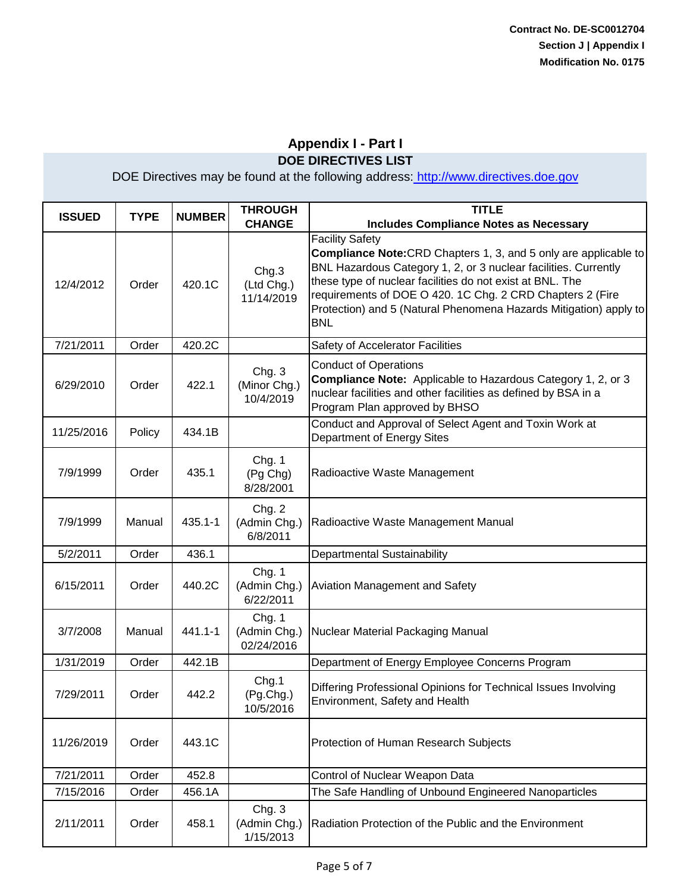| <b>ISSUED</b> | <b>TYPE</b> | <b>NUMBER</b> | <b>THROUGH</b><br><b>CHANGE</b>      | <b>TITLE</b><br><b>Includes Compliance Notes as Necessary</b>                                                                                                                                                                                                                                                                                                                     |
|---------------|-------------|---------------|--------------------------------------|-----------------------------------------------------------------------------------------------------------------------------------------------------------------------------------------------------------------------------------------------------------------------------------------------------------------------------------------------------------------------------------|
| 12/4/2012     | Order       | 420.1C        | Chg.3<br>(Ltd Chg.)<br>11/14/2019    | <b>Facility Safety</b><br><b>Compliance Note:</b> CRD Chapters 1, 3, and 5 only are applicable to<br>BNL Hazardous Category 1, 2, or 3 nuclear facilities. Currently<br>these type of nuclear facilities do not exist at BNL. The<br>requirements of DOE O 420. 1C Chg. 2 CRD Chapters 2 (Fire<br>Protection) and 5 (Natural Phenomena Hazards Mitigation) apply to<br><b>BNL</b> |
| 7/21/2011     | Order       | 420.2C        |                                      | Safety of Accelerator Facilities                                                                                                                                                                                                                                                                                                                                                  |
| 6/29/2010     | Order       | 422.1         | Chg. 3<br>(Minor Chg.)<br>10/4/2019  | <b>Conduct of Operations</b><br><b>Compliance Note:</b> Applicable to Hazardous Category 1, 2, or 3<br>nuclear facilities and other facilities as defined by BSA in a<br>Program Plan approved by BHSO                                                                                                                                                                            |
| 11/25/2016    | Policy      | 434.1B        |                                      | Conduct and Approval of Select Agent and Toxin Work at<br>Department of Energy Sites                                                                                                                                                                                                                                                                                              |
| 7/9/1999      | Order       | 435.1         | Chg. 1<br>(Pg Chg)<br>8/28/2001      | Radioactive Waste Management                                                                                                                                                                                                                                                                                                                                                      |
| 7/9/1999      | Manual      | 435.1-1       | Chg. 2<br>(Admin Chg.)<br>6/8/2011   | Radioactive Waste Management Manual                                                                                                                                                                                                                                                                                                                                               |
| 5/2/2011      | Order       | 436.1         |                                      | Departmental Sustainability                                                                                                                                                                                                                                                                                                                                                       |
| 6/15/2011     | Order       | 440.2C        | Chg. 1<br>(Admin Chg.)<br>6/22/2011  | Aviation Management and Safety                                                                                                                                                                                                                                                                                                                                                    |
| 3/7/2008      | Manual      | 441.1-1       | Chg. 1<br>(Admin Chg.)<br>02/24/2016 | Nuclear Material Packaging Manual                                                                                                                                                                                                                                                                                                                                                 |
| 1/31/2019     | Order       | 442.1B        |                                      | Department of Energy Employee Concerns Program                                                                                                                                                                                                                                                                                                                                    |
| 7/29/2011     | Order       | 442.2         | Chg.1<br>(Pg.Chg.)<br>10/5/2016      | Differing Professional Opinions for Technical Issues Involving<br>Environment, Safety and Health                                                                                                                                                                                                                                                                                  |
| 11/26/2019    | Order       | 443.1C        |                                      | Protection of Human Research Subjects                                                                                                                                                                                                                                                                                                                                             |
| 7/21/2011     | Order       | 452.8         |                                      | Control of Nuclear Weapon Data                                                                                                                                                                                                                                                                                                                                                    |
| 7/15/2016     | Order       | 456.1A        |                                      | The Safe Handling of Unbound Engineered Nanoparticles                                                                                                                                                                                                                                                                                                                             |
| 2/11/2011     | Order       | 458.1         | Chg. 3<br>(Admin Chg.)<br>1/15/2013  | Radiation Protection of the Public and the Environment                                                                                                                                                                                                                                                                                                                            |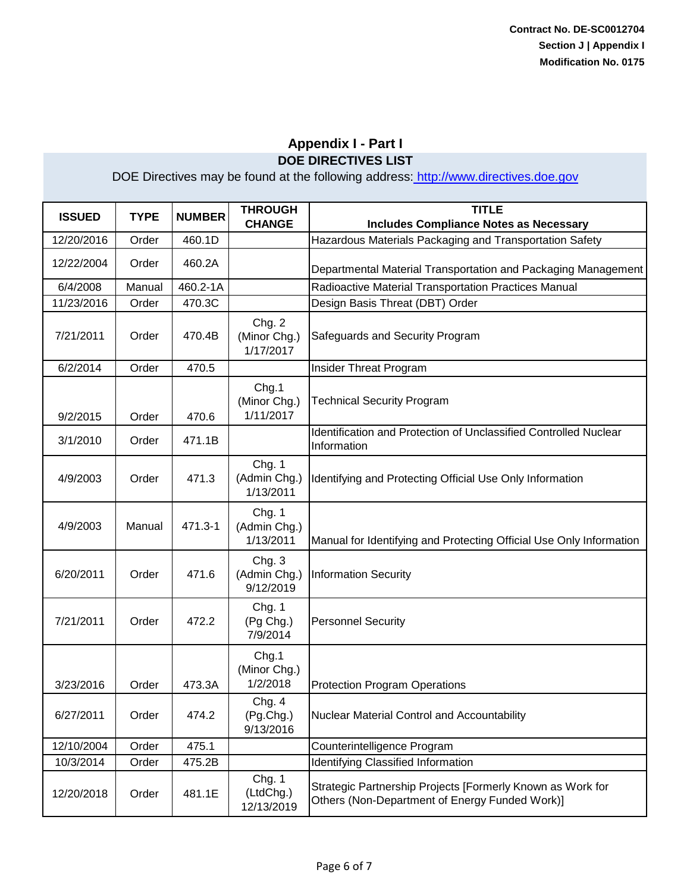| <b>ISSUED</b> | <b>TYPE</b> | <b>NUMBER</b> | <b>THROUGH</b><br><b>CHANGE</b>     | <b>TITLE</b><br><b>Includes Compliance Notes as Necessary</b>                                                |
|---------------|-------------|---------------|-------------------------------------|--------------------------------------------------------------------------------------------------------------|
| 12/20/2016    | Order       | 460.1D        |                                     | Hazardous Materials Packaging and Transportation Safety                                                      |
| 12/22/2004    | Order       | 460.2A        |                                     | Departmental Material Transportation and Packaging Management                                                |
| 6/4/2008      | Manual      | 460.2-1A      |                                     | Radioactive Material Transportation Practices Manual                                                         |
| 11/23/2016    | Order       | 470.3C        |                                     | Design Basis Threat (DBT) Order                                                                              |
| 7/21/2011     | Order       | 470.4B        | Chg. 2<br>(Minor Chg.)<br>1/17/2017 | Safeguards and Security Program                                                                              |
| 6/2/2014      | Order       | 470.5         |                                     | Insider Threat Program                                                                                       |
| 9/2/2015      | Order       | 470.6         | Chg.1<br>(Minor Chg.)<br>1/11/2017  | <b>Technical Security Program</b>                                                                            |
| 3/1/2010      | Order       | 471.1B        |                                     | Identification and Protection of Unclassified Controlled Nuclear<br>Information                              |
| 4/9/2003      | Order       | 471.3         | Chg. 1<br>(Admin Chg.)<br>1/13/2011 | Identifying and Protecting Official Use Only Information                                                     |
| 4/9/2003      | Manual      | 471.3-1       | Chg. 1<br>(Admin Chg.)<br>1/13/2011 | Manual for Identifying and Protecting Official Use Only Information                                          |
| 6/20/2011     | Order       | 471.6         | Chg. 3<br>(Admin Chg.)<br>9/12/2019 | <b>Information Security</b>                                                                                  |
| 7/21/2011     | Order       | 472.2         | Chg. 1<br>(Pg Chg.)<br>7/9/2014     | <b>Personnel Security</b>                                                                                    |
| 3/23/2016     | Order       | 473.3A        | Chg.1<br>(Minor Chg.)<br>1/2/2018   | <b>Protection Program Operations</b>                                                                         |
| 6/27/2011     | Order       | 474.2         | Chg. 4<br>(Pg.Chg.)<br>9/13/2016    | Nuclear Material Control and Accountability                                                                  |
| 12/10/2004    | Order       | 475.1         |                                     | Counterintelligence Program                                                                                  |
| 10/3/2014     | Order       | 475.2B        |                                     | Identifying Classified Information                                                                           |
| 12/20/2018    | Order       | 481.1E        | Chg. 1<br>(LtdChg.)<br>12/13/2019   | Strategic Partnership Projects [Formerly Known as Work for<br>Others (Non-Department of Energy Funded Work)] |